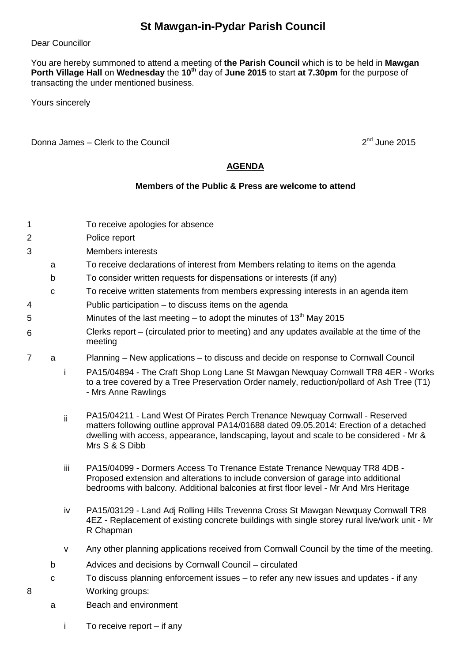## **St Mawgan-in-Pydar Parish Council**

Dear Councillor

You are hereby summoned to attend a meeting of **the Parish Council** which is to be held in **Mawgan Porth Village Hall** on **Wednesday** the **10th** day of **June 2015** to start **at 7.30pm** for the purpose of transacting the under mentioned business.

Yours sincerely

Donna James – Clerk to the Council 2nd June 2015

## **AGENDA**

## **Members of the Public & Press are welcome to attend**

- 1 To receive apologies for absence
- 2 Police report
- 3 Members interests
	- a To receive declarations of interest from Members relating to items on the agenda
	- b To consider written requests for dispensations or interests (if any)
	- c To receive written statements from members expressing interests in an agenda item
- 4 Public participation to discuss items on the agenda
- 5 Minutes of the last meeting to adopt the minutes of  $13<sup>th</sup>$  May 2015
- 6 Clerks report – (circulated prior to meeting) and any updates available at the time of the meeting
- 7 a Planning New applications to discuss and decide on response to Cornwall Council
	- i PA15/04894 The Craft Shop Long Lane St Mawgan Newquay Cornwall TR8 4ER Works to a tree covered by a Tree Preservation Order namely, reduction/pollard of Ash Tree (T1) - Mrs Anne Rawlings
	- ii PA15/04211 Land West Of Pirates Perch Trenance Newquay Cornwall Reserved matters following outline approval PA14/01688 dated 09.05.2014: Erection of a detached dwelling with access, appearance, landscaping, layout and scale to be considered - Mr & Mrs S & S Dibb
	- iii PA15/04099 Dormers Access To Trenance Estate Trenance Newquay TR8 4DB -Proposed extension and alterations to include conversion of garage into additional bedrooms with balcony. Additional balconies at first floor level - Mr And Mrs Heritage
	- iv PA15/03129 Land Adj Rolling Hills Trevenna Cross St Mawgan Newquay Cornwall TR8 4EZ - Replacement of existing concrete buildings with single storey rural live/work unit - Mr R Chapman
	- v Any other planning applications received from Cornwall Council by the time of the meeting.
	- b Advices and decisions by Cornwall Council circulated
- c To discuss planning enforcement issues to refer any new issues and updates if any 8 Working groups:
	- a Beach and environment
		- i To receive report if any